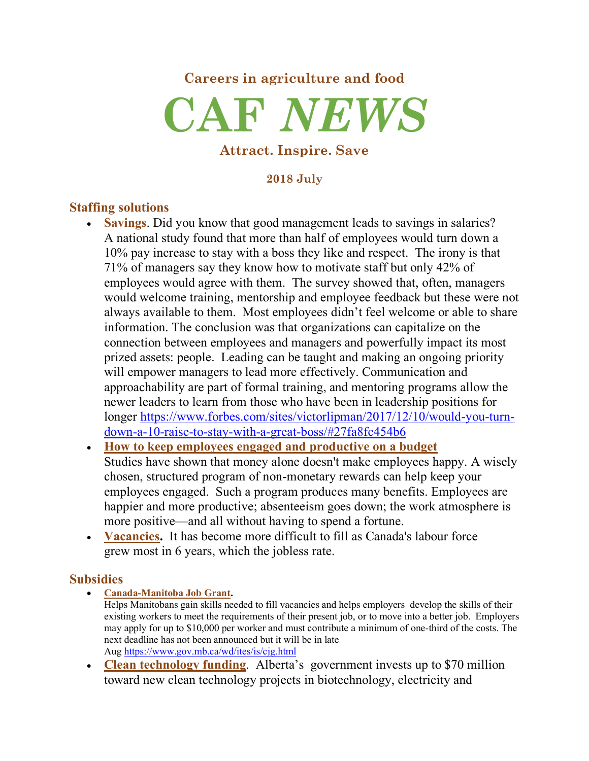# **Careers in agriculture and food CAF** *NEWS*

#### **Attract. Inspire. Save**

#### **2018 July**

### **Staffing solutions**

- **Savings**. Did you know that good management leads to savings in salaries? A national study found that more than half of employees would turn down a 10% pay increase to stay with a boss they like and respect. The irony is that 71% of managers say they know how to motivate staff but only 42% of employees would agree with them. The survey showed that, often, managers would welcome training, mentorship and employee feedback but these were not always available to them. Most employees didn't feel welcome or able to share information. The conclusion was that organizations can capitalize on the connection between employees and managers and powerfully impact its most prized assets: people. Leading can be taught and making an ongoing priority will empower managers to lead more effectively. Communication and approachability are part of formal training, and mentoring programs allow the newer leaders to learn from those who have been in leadership positions for longer https://www.forbes.com/sites/victorlipman/2017/12/10/would-you-turndown-a-10-raise-to-stay-with-a-great-boss/#27fa8fc454b6
- **How to keep employees engaged and productive on a budget** Studies have shown that money alone doesn't make employees happy. A wisely chosen, structured program of non-monetary rewards can help keep your employees engaged. Such a program produces many benefits. Employees are happier and more productive; absenteeism goes down; the work atmosphere is more positive—and all without having to spend a fortune.
- **Vacancies.** It has become more difficult to fill as Canada's labour force grew most in 6 years, which the jobless rate.

### **Subsidies**

- **Canada-Manitoba Job Grant.** Helps Manitobans gain skills needed to fill vacancies and helps employers develop the skills of their existing workers to meet the requirements of their present job, or to move into a better job. Employers may apply for up to \$10,000 per worker and must contribute a minimum of one-third of the costs. The next deadline has not been announced but it will be in late Aug https://www.gov.mb.ca/wd/ites/is/cjg.html
- **Clean technology funding**. Alberta's government invests up to \$70 million toward new clean technology projects in biotechnology, electricity and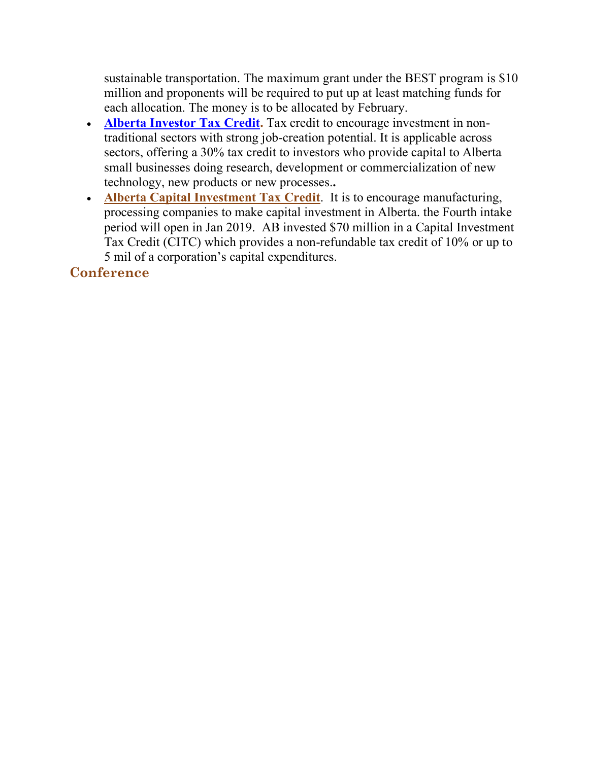sustainable transportation. The maximum grant under the BEST program is \$10 million and proponents will be required to put up at least matching funds for each allocation. The money is to be allocated by February.

- **Alberta Investor Tax Credit.** Tax credit to encourage investment in nontraditional sectors with strong job-creation potential. It is applicable across sectors, offering a 30% tax credit to investors who provide capital to Alberta small businesses doing research, development or commercialization of new technology, new products or new processes.**.**
- **Alberta Capital Investment Tax Credit**. It is to encourage manufacturing, processing companies to make capital investment in Alberta. the Fourth intake period will open in Jan 2019. AB invested \$70 million in a Capital Investment Tax Credit (CITC) which provides a non-refundable tax credit of 10% or up to 5 mil of a corporation's capital expenditures.

## **Conference**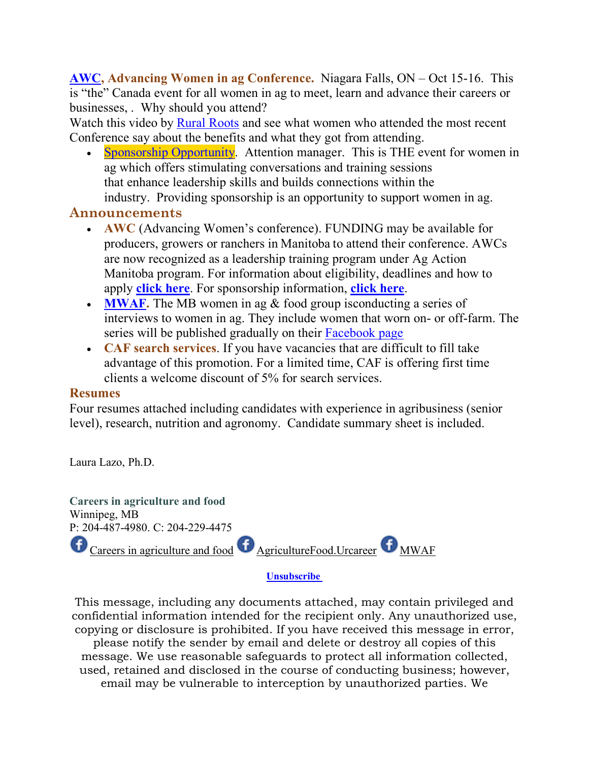**AWC, Advancing Women in ag Conference.** Niagara Falls, ON – Oct 15-16. This is "the" Canada event for all women in ag to meet, learn and advance their careers or businesses, . Why should you attend?

Watch this video by Rural Roots and see what women who attended the most recent Conference say about the benefits and what they got from attending.

• Sponsorship Opportunity. Attention manager. This is THE event for women in ag which offers stimulating conversations and training sessions that enhance leadership skills and builds connections within the industry. Providing sponsorship is an opportunity to support women in ag.

### **Announcements**

- **AWC** (Advancing Women's conference). FUNDING may be available for producers, growers or ranchers in Manitoba to attend their conference. AWCs are now recognized as a leadership training program under Ag Action Manitoba program. For information about eligibility, deadlines and how to apply **click here**. For sponsorship information, **click here**.
- **MWAF.** The MB women in ag & food group isconducting a series of interviews to women in ag. They include women that worn on- or off-farm. The series will be published gradually on their Facebook page
- **CAF search services**. If you have vacancies that are difficult to fill take advantage of this promotion. For a limited time, CAF is offering first time clients a welcome discount of 5% for search services.

### **Resumes**

Four resumes attached including candidates with experience in agribusiness (senior level), research, nutrition and agronomy. Candidate summary sheet is included.

Laura Lazo, Ph.D.



#### **Unsubscribe**

This message, including any documents attached, may contain privileged and confidential information intended for the recipient only. Any unauthorized use, copying or disclosure is prohibited. If you have received this message in error,

please notify the sender by email and delete or destroy all copies of this message. We use reasonable safeguards to protect all information collected, used, retained and disclosed in the course of conducting business; however, email may be vulnerable to interception by unauthorized parties. We